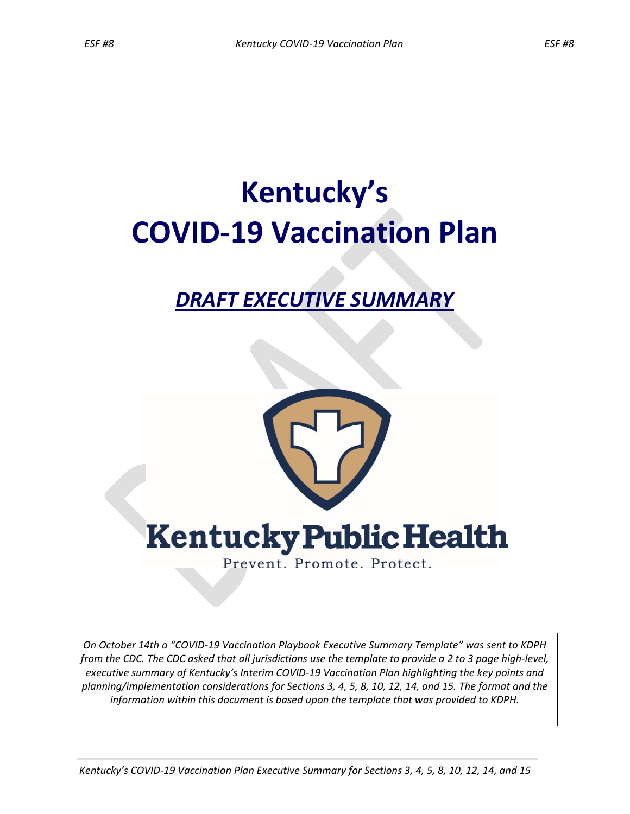# **Kentucky's COVID-19 Vaccination Plan**

# *DRAFT EXECUTIVE SUMMARY*



*On October 14th a "COVID-19 Vaccination Playbook Executive Summary Template" was sent to KDPH from the CDC. The CDC asked that all jurisdictions use the template to provide a 2 to 3 page high-level, executive summary of Kentucky's Interim COVID-19 Vaccination Plan highlighting the key points and planning/implementation considerations for Sections 3, 4, 5, 8, 10, 12, 14, and 15. The format and the information within this document is based upon the template that was provided to KDPH.*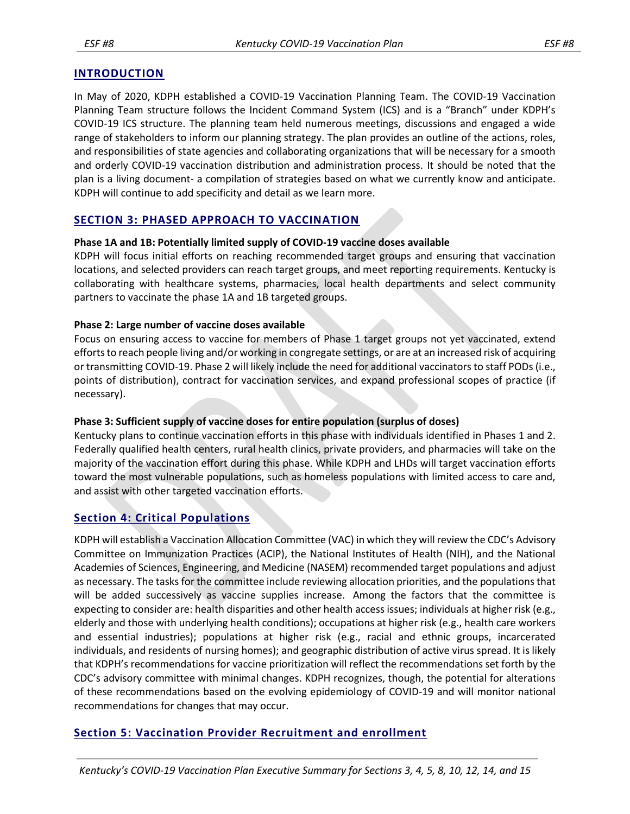#### **INTRODUCTION**

In May of 2020, KDPH established a COVID-19 Vaccination Planning Team. The COVID-19 Vaccination Planning Team structure follows the Incident Command System (ICS) and is a "Branch" under KDPH's COVID-19 ICS structure. The planning team held numerous meetings, discussions and engaged a wide range of stakeholders to inform our planning strategy. The plan provides an outline of the actions, roles, and responsibilities of state agencies and collaborating organizations that will be necessary for a smooth and orderly COVID-19 vaccination distribution and administration process. It should be noted that the plan is a living document- a compilation of strategies based on what we currently know and anticipate. KDPH will continue to add specificity and detail as we learn more.

## **SECTION 3: PHASED APPROACH TO VACCINATION**

#### **Phase 1A and 1B: Potentially limited supply of COVID-19 vaccine doses available**

KDPH will focus initial efforts on reaching recommended target groups and ensuring that vaccination locations, and selected providers can reach target groups, and meet reporting requirements. Kentucky is collaborating with healthcare systems, pharmacies, local health departments and select community partners to vaccinate the phase 1A and 1B targeted groups.

#### **Phase 2: Large number of vaccine doses available**

Focus on ensuring access to vaccine for members of Phase 1 target groups not yet vaccinated, extend efforts to reach people living and/or working in congregate settings, or are at an increased risk of acquiring or transmitting COVID-19. Phase 2 will likely include the need for additional vaccinators to staff PODs (i.e., points of distribution), contract for vaccination services, and expand professional scopes of practice (if necessary).

#### **Phase 3: Sufficient supply of vaccine doses for entire population (surplus of doses)**

Kentucky plans to continue vaccination efforts in this phase with individuals identified in Phases 1 and 2. Federally qualified health centers, rural health clinics, private providers, and pharmacies will take on the majority of the vaccination effort during this phase. While KDPH and LHDs will target vaccination efforts toward the most vulnerable populations, such as homeless populations with limited access to care and, and assist with other targeted vaccination efforts.

#### **Section 4: Critical Populations**

KDPH will establish a Vaccination Allocation Committee (VAC) in which they will review the CDC's Advisory Committee on Immunization Practices (ACIP), the National Institutes of Health (NIH), and the National Academies of Sciences, Engineering, and Medicine (NASEM) recommended target populations and adjust as necessary. The tasks for the committee include reviewing allocation priorities, and the populations that will be added successively as vaccine supplies increase. Among the factors that the committee is expecting to consider are: health disparities and other health access issues; individuals at higher risk (e.g., elderly and those with underlying health conditions); occupations at higher risk (e.g., health care workers and essential industries); populations at higher risk (e.g., racial and ethnic groups, incarcerated individuals, and residents of nursing homes); and geographic distribution of active virus spread. It is likely that KDPH's recommendations for vaccine prioritization will reflect the recommendations set forth by the CDC's advisory committee with minimal changes. KDPH recognizes, though, the potential for alterations of these recommendations based on the evolving epidemiology of COVID-19 and will monitor national recommendations for changes that may occur.

# **Section 5: Vaccination Provider Recruitment and enrollment**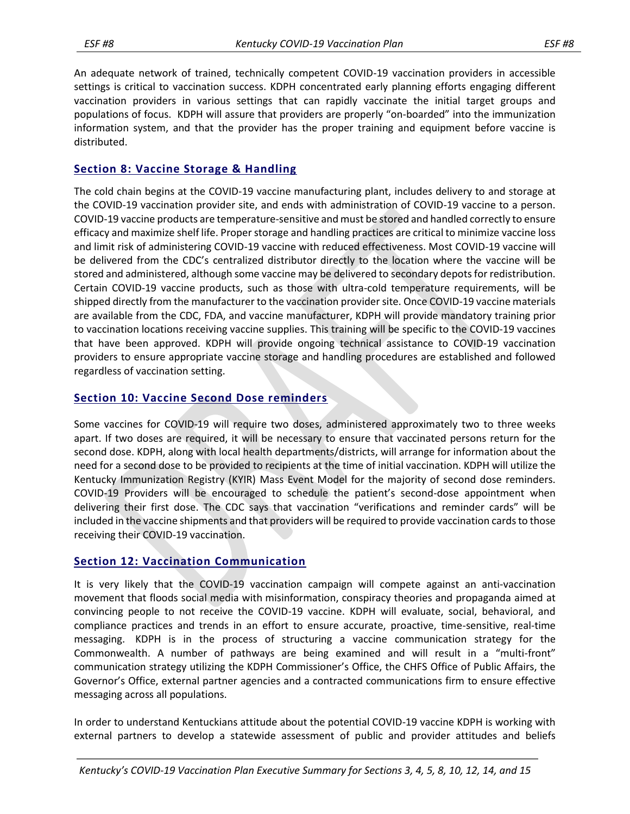An adequate network of trained, technically competent COVID-19 vaccination providers in accessible settings is critical to vaccination success. KDPH concentrated early planning efforts engaging different vaccination providers in various settings that can rapidly vaccinate the initial target groups and populations of focus. KDPH will assure that providers are properly "on-boarded" into the immunization information system, and that the provider has the proper training and equipment before vaccine is distributed.

# **Section 8: Vaccine Storage & Handling**

The cold chain begins at the COVID-19 vaccine manufacturing plant, includes delivery to and storage at the COVID-19 vaccination provider site, and ends with administration of COVID-19 vaccine to a person. COVID-19 vaccine products are temperature-sensitive and must be stored and handled correctly to ensure efficacy and maximize shelf life. Proper storage and handling practices are critical to minimize vaccine loss and limit risk of administering COVID-19 vaccine with reduced effectiveness. Most COVID-19 vaccine will be delivered from the CDC's centralized distributor directly to the location where the vaccine will be stored and administered, although some vaccine may be delivered to secondary depots for redistribution. Certain COVID-19 vaccine products, such as those with ultra-cold temperature requirements, will be shipped directly from the manufacturer to the vaccination provider site. Once COVID-19 vaccine materials are available from the CDC, FDA, and vaccine manufacturer, KDPH will provide mandatory training prior to vaccination locations receiving vaccine supplies. This training will be specific to the COVID-19 vaccines that have been approved. KDPH will provide ongoing technical assistance to COVID-19 vaccination providers to ensure appropriate vaccine storage and handling procedures are established and followed regardless of vaccination setting.

## **Section 10: Vaccine Second Dose reminders**

Some vaccines for COVID-19 will require two doses, administered approximately two to three weeks apart. If two doses are required, it will be necessary to ensure that vaccinated persons return for the second dose. KDPH, along with local health departments/districts, will arrange for information about the need for a second dose to be provided to recipients at the time of initial vaccination. KDPH will utilize the Kentucky Immunization Registry (KYIR) Mass Event Model for the majority of second dose reminders. COVID-19 Providers will be encouraged to schedule the patient's second-dose appointment when delivering their first dose. The CDC says that vaccination "verifications and reminder cards" will be included in the vaccine shipments and that providers will be required to provide vaccination cards to those receiving their COVID-19 vaccination.

# **Section 12: Vaccination Communication**

It is very likely that the COVID-19 vaccination campaign will compete against an anti-vaccination movement that floods social media with [misinformation,](https://www.nytimes.com/2020/06/01/technology/george-floyd-misinformation-online.html) conspiracy theories and propaganda aimed at convincing people to not receive the COVID-19 vaccine. KDPH will evaluate, social, behavioral, and compliance practices and trends in an effort to ensure accurate, proactive, time-sensitive, real-time messaging. KDPH is in the process of structuring a vaccine communication strategy for the Commonwealth. A number of pathways are being examined and will result in a "multi-front" communication strategy utilizing the KDPH Commissioner's Office, the CHFS Office of Public Affairs, the Governor's Office, external partner agencies and a contracted communications firm to ensure effective messaging across all populations.

In order to understand Kentuckians attitude about the potential COVID-19 vaccine KDPH is working with external partners to develop a statewide assessment of public and provider attitudes and beliefs